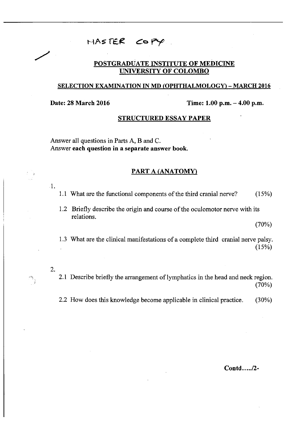## **h a s fE £ p y**

#### **POSTGRADUATE INSTITUTE OF MEDICINE UNIVERSITY OF COLOMBO**

#### **SELECTION EXAMINATION IN MD (OPHTHALMOLOGY) - MARCH 2016**

**Date: 28 March 2016** Time: 1.00 p.m. - 4.00 p.m.

#### **STRUCTURED ESSAY PAPER**

Answer all questions in Parts A, B and C. Answer **each question in a separate answer book.** 

### **PART A (ANATOMY)**

- 1.1 What are the functional components of the third cranial nerve? (15%)
- 1.2 Briefly describe the origin and course of the oculomotor nerve with its relations.

(70%)

1.3 What are the clinical manifestations of a complete third cranial nerve palsy.  $(15%)$ 

**2.** 

 $\mathbb{P}_y$ 

1.

- 2.1 Describe briefly the arrangement of lymphatics in the head and neck region. (70%)
- 2.2 How does this knowledge become applicable in clinical practice. (30%)

Contd...../2-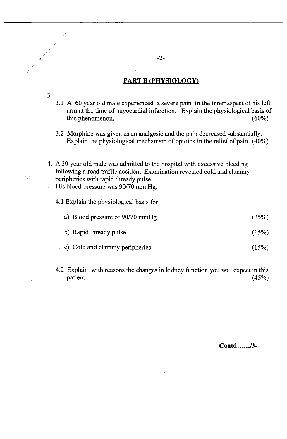#### **PART B (PHYSIOLOGY)**

- **3.**
- 3.1 A 60 year old male experienced a severe pain in the inner aspect of his left arm at the time of myocardial infarction. Explain the physiological basis of this phenomenon. (60%) this phenomenon.
- 3.2 Morphine was given as an analgesic and the pain decreased substantially. Explain the physiological mechanism of opioids in the relief of pain. (40%)
- 4. A 30 year old male was admitted to the hospital with excessive bleeding following a road traffic accident. Examination revealed cold and clammy peripheries with rapid thready pulse. His blood pressure was 90/70 mm Hg.
	- 4.1 Explain the physiological basis for

| a) Blood pressure of 90/70 mmHg. | (25%) |
|----------------------------------|-------|
| b) Rapid thready pulse.          | (15%) |

- . c) Cold and clammy peripheries. (15%)
- 4.2 Explain with reasons the changes in kidney function you will expect in this patient. (45%)  $\frac{1}{2}$  patient. (45%)

Contd....../3-